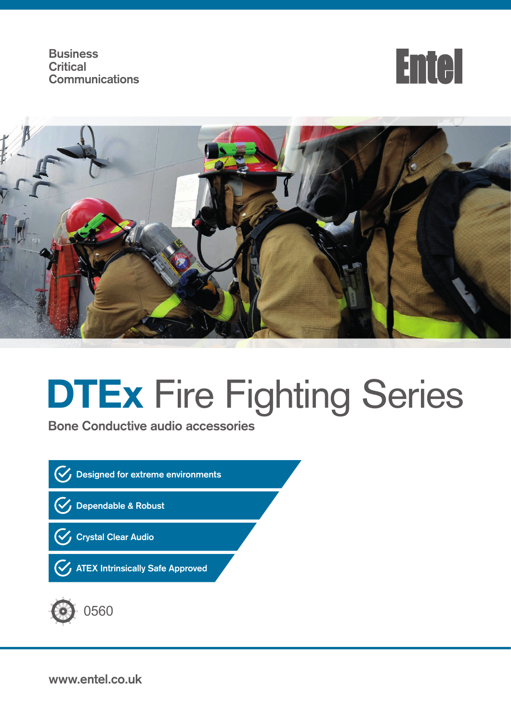**Business Critical Communications**





# **DTEx Fire Fighting Series**

**Bone Conductive audio accessories**





**www.entel.co.uk**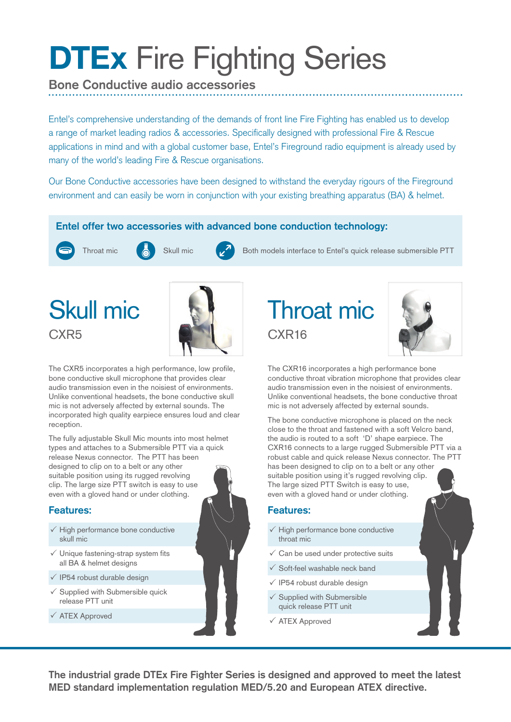## **DTEx Fire Fighting Series**

### **Bone Conductive audio accessories**

Entel's comprehensive understanding of the demands of front line Fire Fighting has enabled us to develop a range of market leading radios & accessories. Specifically designed with professional Fire & Rescue applications in mind and with a global customer base, Entel's Fireground radio equipment is already used by many of the world's leading Fire & Rescue organisations.

Our Bone Conductive accessories have been designed to withstand the everyday rigours of the Fireground environment and can easily be worn in conjunction with your existing breathing apparatus (BA) & helmet.

### **Entel offer two accessories with advanced bone conduction technology:**





Throat mic  $\begin{pmatrix} 1 & 1 \end{pmatrix}$  Skull mic Both models interface to Entel's quick release submersible PTT

### Skull mic CXR<sub>5</sub>



The CXR5 incorporates a high performance, low profile, bone conductive skull microphone that provides clear audio transmission even in the noisiest of environments. Unlike conventional headsets, the bone conductive skull mic is not adversely affected by external sounds. The incorporated high quality earpiece ensures loud and clear reception.

The fully adjustable Skull Mic mounts into most helmet types and attaches to a Submersible PTT via a quick release Nexus connector. The PTT has been designed to clip on to a belt or any other suitable position using its rugged revolving clip. The large size PTT switch is easy to use even with a gloved hand or under clothing.

#### **Features:**

- $\checkmark$  High performance bone conductive skull mic
- $\checkmark$  Unique fastening-strap system fits all BA & helmet designs
- $\sqrt{1}P54$  robust durable design
- $\checkmark$  Supplied with Submersible quick release PTT unit
- ATEX Approved





The CXR16 incorporates a high performance bone conductive throat vibration microphone that provides clear audio transmission even in the noisiest of environments. Unlike conventional headsets, the bone conductive throat mic is not adversely affected by external sounds.

The bone conductive microphone is placed on the neck close to the throat and fastened with a soft Velcro band, the audio is routed to a soft 'D' shape earpiece. The CXR16 connects to a large rugged Submersible PTT via a robust cable and quick release Nexus connector. The PTT has been designed to clip on to a belt or any other suitable position using it's rugged revolving clip. The large sized PTT Switch is easy to use, even with a gloved hand or under clothing.

#### **Features:**

- $\checkmark$  High performance bone conductive throat mic
- $\checkmark$  Can be used under protective suits
- $\checkmark$  Soft-feel washable neck band
- $\sqrt{}$  IP54 robust durable design
- $\checkmark$  Supplied with Submersible
- quick release PTT unit
- ATEX Approved

**The industrial grade DTEx Fire Fighter Series is designed and approved to meet the latest MED standard implementation regulation MED/5.20 and European ATEX directive.**